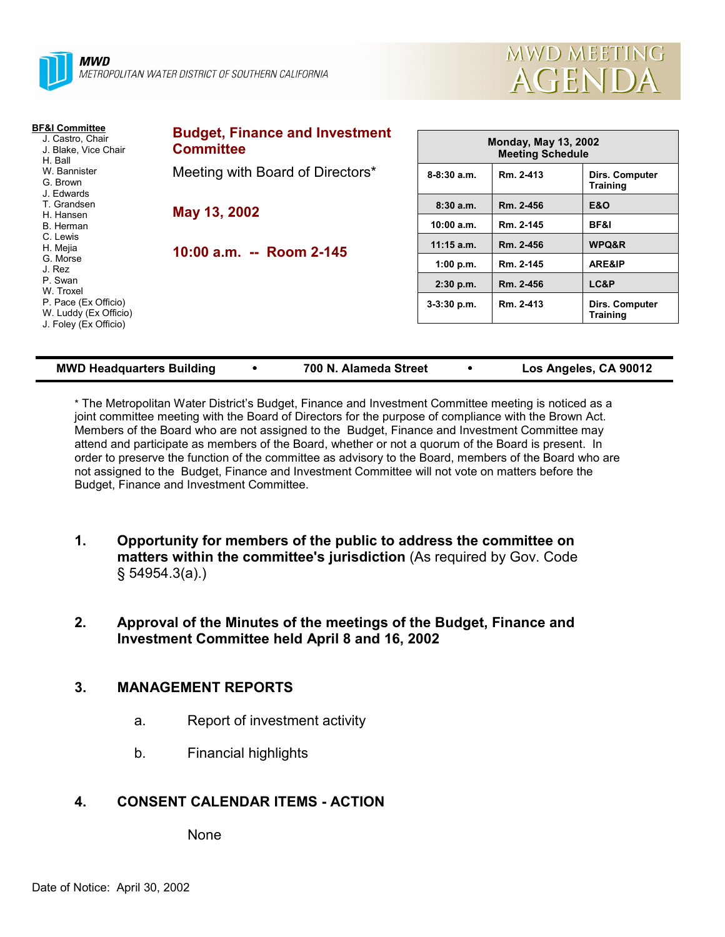



| BF&I Committee<br>J. Castro, Chair<br>J. Blake, Vice Chair<br>H. Ball<br>W. Bannister<br>G. Brown<br>J. Edwards | <b>Budget, Finance and Investment</b><br><b>Committee</b>                    | <b>Monday, May 13, 2002</b><br><b>Meeting Schedule</b> |           |                                          |
|-----------------------------------------------------------------------------------------------------------------|------------------------------------------------------------------------------|--------------------------------------------------------|-----------|------------------------------------------|
|                                                                                                                 | Meeting with Board of Directors*<br>May 13, 2002<br>10:00 a.m. -- Room 2-145 | $8 - 8:30$ a.m.                                        | Rm. 2-413 | <b>Dirs. Computer</b><br><b>Training</b> |
| T. Grandsen                                                                                                     |                                                                              | 8:30a.m.                                               | Rm. 2-456 | <b>E&amp;O</b>                           |
| H. Hansen<br>B. Herman                                                                                          |                                                                              | 10:00 a.m.                                             | Rm. 2-145 | BF&I                                     |
| C. Lewis<br>H. Mejia                                                                                            |                                                                              | $11:15$ a.m.                                           | Rm. 2-456 | WPQ&R                                    |
| G. Morse<br>J. Rez                                                                                              |                                                                              | 1:00 p.m.                                              | Rm. 2-145 | ARE&IP                                   |
| P. Swan<br>W. Troxel<br>P. Pace (Ex Officio)<br>W. Luddy (Ex Officio)<br>J. Foley (Ex Officio)                  |                                                                              | $2:30$ p.m.                                            | Rm. 2-456 | LC&P                                     |
|                                                                                                                 |                                                                              | $3-3:30$ p.m.                                          | Rm. 2-413 | <b>Dirs. Computer</b><br><b>Training</b> |
|                                                                                                                 |                                                                              |                                                        |           |                                          |

**MMB 100 N. Alameda Street <b>100 CO** Los Angeles, CA 90012

\* The Metropolitan Water Districtís Budget, Finance and Investment Committee meeting is noticed as a joint committee meeting with the Board of Directors for the purpose of compliance with the Brown Act. Members of the Board who are not assigned to the Budget, Finance and Investment Committee may attend and participate as members of the Board, whether or not a quorum of the Board is present. In order to preserve the function of the committee as advisory to the Board, members of the Board who are not assigned to the Budget, Finance and Investment Committee will not vote on matters before the Budget, Finance and Investment Committee.

- **1. Opportunity for members of the public to address the committee on matters within the committee's jurisdiction** (As required by Gov. Code ß 54954.3(a).)
- **2. Approval of the Minutes of the meetings of the Budget, Finance and Investment Committee held April 8 and 16, 2002**

# **3. MANAGEMENT REPORTS**

- a. Report of investment activity
- b. Financial highlights

## **4. CONSENT CALENDAR ITEMS - ACTION**

None